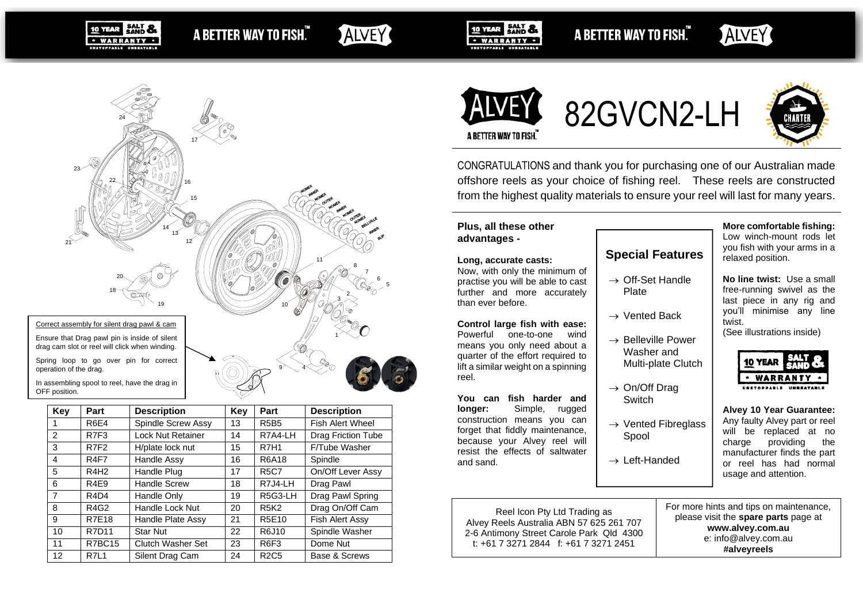**SALT &** A BETTER WAY TO FISH." · WARRANTY ·

17  $\,\times$   $\,\times$ 

# ALVEY

11  $\smile$ 

11

9 - 4 - 9

10  $\frac{1}{2}$ 

2 $\sim$   $\sim$ 3  $\sim$ 

5 6 7 8



A BETTER WAY TO FISH."





82GVCN2-LH



CONGRATULATIONS and thank you for purchasing one of our Australian made offshore reels as your choice of fishing reel. These reels are constructed from the highest quality materials to ensure your reel will last for many years.

#### **Plus, all these other advantages -**

#### **Long, accurate casts:**

Now, with only the minimum of practise you will be able to cast further and more accurately than ever before.

#### **Control large fish with ease:**

Powerful one-to-one wind means you only need about a quarter of the effort required to lift a similar weight on a spinning reel.

**You can fish harder and longer:** Simple, rugged construction means you can forget that fiddly maintenance, because your Alvey reel will resist the effects of saltwater and sand.

**Special Features** → Off-Set Handle Plate

- → Vented Back
- 
- $\rightarrow$  Belleville Power Washer and Multi-plate Clutch
- → On/Off Drag **Switch**  $\rightarrow$  Vented Fibreglass
- Spool → Left-Handed

**More comfortable fishing:** Low winch-mount rods let you fish with your arms in a

relaxed position.

**No line twist:** Use a small free-running swivel as the last piece in any rig and you'll minimise any line twist.

(See illustrations inside)



**Alvey 10 Year Guarantee:** Any faulty Alvey part or reel will be replaced at no charge providing the manufacturer finds the part or reel has had normal usage and attention.

| Reel Icon Pty Ltd Trading as<br>Alvey Reels Australia ABN 57 625 261 707<br>2-6 Antimony Street Carole Park Qld 4300<br>t: $+61$ 7 3271 2844 f: $+61$ 7 3271 2451 | For more hints and tips on maintenance,<br>please visit the spare parts page at<br>www.alvey.com.au<br>e: info@alvey.com.au<br>#alveyreels |
|-------------------------------------------------------------------------------------------------------------------------------------------------------------------|--------------------------------------------------------------------------------------------------------------------------------------------|
|-------------------------------------------------------------------------------------------------------------------------------------------------------------------|--------------------------------------------------------------------------------------------------------------------------------------------|



24 YAU

10 YEAR

drag cam slot or reel will click when winding.

Spring loop to go over pin for correct operation of the drag.

In assembling spool to reel, have the drag in OFF position.

| Key                     | Part                          | <b>Description</b>       | Key | Part             | <b>Description</b>      |  |
|-------------------------|-------------------------------|--------------------------|-----|------------------|-------------------------|--|
|                         | <b>R6E4</b>                   | Spindle Screw Assy       | 13  | <b>R5B5</b>      | <b>Fish Alert Wheel</b> |  |
| 2                       | R7F3                          | <b>Lock Nut Retainer</b> | 14  | R7A4-LH          | Drag Friction Tube      |  |
| 3                       | R7F2                          | H/plate lock nut         | 15  | <b>R7H1</b>      | F/Tube Washer           |  |
| $\overline{\mathbf{4}}$ | R <sub>4</sub> F <sub>7</sub> | Handle Assy              | 16  | R6A18            | Spindle                 |  |
| 5                       | R4H <sub>2</sub>              | Handle Plug              | 17  | <b>R5C7</b>      | On/Off Lever Assy       |  |
| 6                       | R <sub>4E9</sub>              | <b>Handle Screw</b>      | 18  | R7J4-LH          | Drag Pawl               |  |
| $\overline{7}$          | R <sub>4</sub> D <sub>4</sub> | Handle Only              | 19  | R5G3-LH          | Drag Pawl Spring        |  |
| 8                       | R4G2                          | Handle Lock Nut          | 20  | <b>R5K2</b>      | Drag On/Off Cam         |  |
| 9                       | <b>R7E18</b>                  | Handle Plate Assy        | 21  | R5E10            | Fish Alert Assy         |  |
| 10                      | R7D11                         | <b>Star Nut</b>          | 22  | R6J10            | Spindle Washer          |  |
| 11                      | R7BC15                        | Clutch Washer Set        | 23  | R <sub>6F3</sub> | Dome Nut                |  |
| 12                      | R7L1                          | Silent Drag Cam          | 24  | <b>R2C5</b>      | Base & Screws           |  |